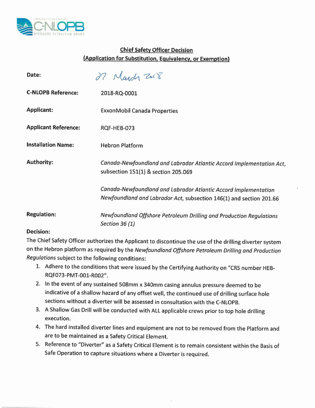

## Chief Safety Officer Decision (Application for Substitution, Equivalency, or Exemption)

| Date:                       | March 2018                                                                                                                             |
|-----------------------------|----------------------------------------------------------------------------------------------------------------------------------------|
| <b>C-NLOPB Reference:</b>   | 2018-RQ-0001                                                                                                                           |
| <b>Applicant:</b>           | ExxonMobil Canada Properties                                                                                                           |
| <b>Applicant Reference:</b> | RQF-HEB-073                                                                                                                            |
| <b>Installation Name:</b>   | <b>Hebron Platform</b>                                                                                                                 |
| <b>Authority:</b>           | Canada-Newfoundland and Labrador Atlantic Accord Implementation Act,<br>subsection 151(1) & section 205.069                            |
|                             | Canada-Newfoundland and Labrador Atlantic Accord Implementation<br>Newfoundland and Labrador Act, subsection 146(1) and section 201.66 |
| <b>Regulation:</b>          | Newfoundland Offshore Petroleum Drilling and Production Regulations<br>Section 36 (1)                                                  |
| Decision:                   |                                                                                                                                        |

## Decision:

The Chief Safety Officer authorizes the Applicant to discontinue the use of the drilling diverter system on the Hebron platform as required by the *Newfoundland Offshore Petroleum Drilling and Production Regulations* subject to the following conditions:

- 1. Adhere to the conditions that were issued by the Certifying Authority on "CRS number HEB-RQF073-PMT-001-R002".
- 2. In the event of any sustained 508mm x 340mm casing annulus pressure deemed to be indicative of a shallow hazard of any offset well, the continued use of drilling surface hole sections without a diverter will be assessed in consultation with the C-NLOPB.
- 3. A Shallow Gas Drill will be conducted with ALL applicable crews prior to top hole drilling execution.
- 4. The hard installed diverter lines and equipment are not to be removed from the Platform and are to be maintained as a Safety Critical Element.
- 5. Reference to "Diverter" as a Safety Critical Element is to remain consistent within the Basis of Safe Operation to capture situations where a Diverter is required.